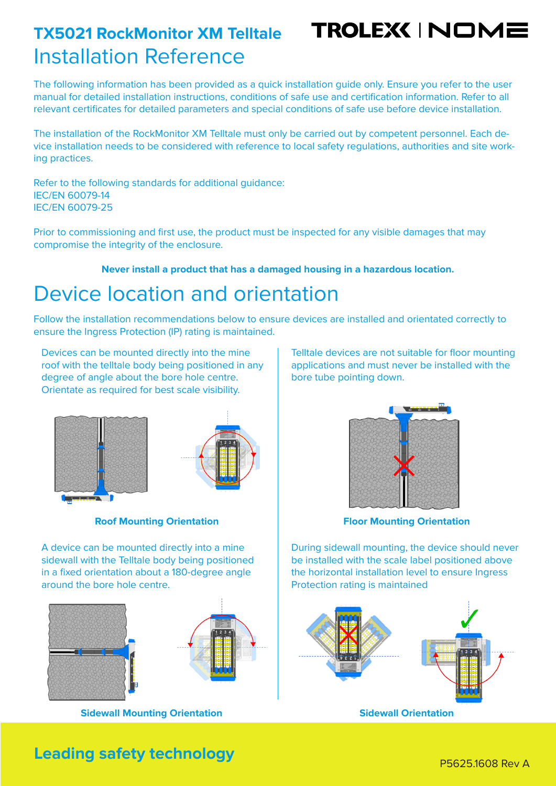## Installation Reference **TX5021 RockMonitor XM Telltale**

TROLEX(INOME

The following information has been provided as a quick installation guide only. Ensure you refer to the user manual for detailed installation instructions, conditions of safe use and certification information. Refer to all relevant certificates for detailed parameters and special conditions of safe use before device installation.

The installation of the RockMonitor XM Telltale must only be carried out by competent personnel. Each device installation needs to be considered with reference to local safety regulations, authorities and site working practices.

Refer to the following standards for additional guidance: IEC/EN 60079-14 IEC/EN 60079-25

Prior to commissioning and first use, the product must be inspected for any visible damages that may compromise the integrity of the enclosure.

**Never install a product that has a damaged housing in a hazardous location.**

### Device location and orientation

Follow the installation recommendations below to ensure devices are installed and orientated correctly to ensure the Ingress Protection (IP) rating is maintained.

Devices can be mounted directly into the mine roof with the telltale body being positioned in any degree of angle about the bore hole centre. Orientate as required for best scale visibility.





#### **Roof Mounting Orientation**

A device can be mounted directly into a mine sidewall with the Telltale body being positioned in a fixed orientation about a 180-degree angle around the bore hole centre.





**Sidewall Mounting Orientation**

Telltale devices are not suitable for floor mounting applications and must never be installed with the bore tube pointing down.



**Floor Mounting Orientation**

During sidewall mounting, the device should never be installed with the scale label positioned above the horizontal installation level to ensure Ingress Protection rating is maintained



**Sidewall Orientation**

## **Leading safety technology P56251608 Rev A**